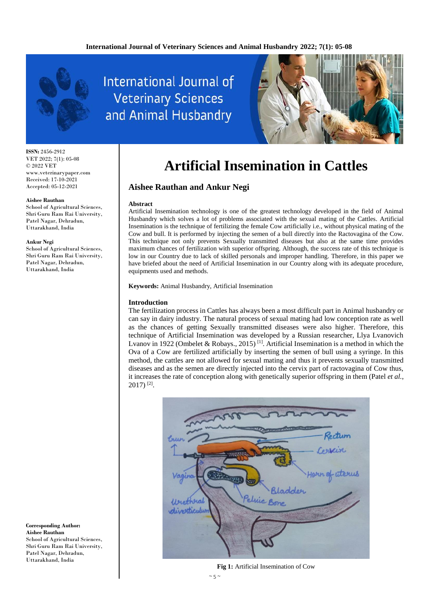

**ISSN:** 2456-2912 VET 2022; 7(1): 05-08 © 2022 VET www.veterinarypaper.com Received: 17-10-2021 Accepted: 05-12-2021

#### **Aishee Rauthan**

School of Agricultural Sciences, Shri Guru Ram Rai University, Patel Nagar, Dehradun, Uttarakhand, India

#### **Ankur Negi**

School of Agricultural Sciences, Shri Guru Ram Rai University, Patel Nagar, Dehradun, Uttarakhand, India

**Corresponding Author: Aishee Rauthan** School of Agricultural Sciences, Shri Guru Ram Rai University, Patel Nagar, Dehradun, Uttarakhand, India

# **International Journal of Veterinary Sciences** and Animal Husbandry



# **Artificial Insemination in Cattles**

## **Aishee Rauthan and Ankur Negi**

#### **Abstract**

Artificial Insemination technology is one of the greatest technology developed in the field of Animal Husbandry which solves a lot of problems associated with the sexual mating of the Cattles. Artificial Insemination is the technique of fertilizing the female Cow artificially i.e., without physical mating of the Cow and bull. It is performed by injecting the semen of a bull directly into the Ractovagina of the Cow. This technique not only prevents Sexually transmitted diseases but also at the same time provides maximum chances of fertilization with superior offspring. Although, the success rate of this technique is low in our Country due to lack of skilled personals and improper handling. Therefore, in this paper we have briefed about the need of Artificial Insemination in our Country along with its adequate procedure, equipments used and methods.

**Keywords:** Animal Husbandry, Artificial Insemination

#### **Introduction**

The fertilization process in Cattles has always been a most difficult part in Animal husbandry or can say in dairy industry. The natural process of sexual mating had low conception rate as well as the chances of getting Sexually transmitted diseases were also higher. Therefore, this technique of Artificial Insemination was developed by a Russian researcher, Llya Lvanovich Lvanov in 1922 (Ombelet & Robays., 2015)<sup>[1]</sup>. Artificial Insemination is a method in which the Ova of a Cow are fertilized artificially by inserting the semen of bull using a syringe. In this method, the cattles are not allowed for sexual mating and thus it prevents sexually transmitted diseases and as the semen are directly injected into the cervix part of ractovagina of Cow thus, it increases the rate of conception along with genetically superior offspring in them (Patel *et al.*,  $2017$ )<sup>[2]</sup>.



**Fig 1:** Artificial Insemination of Cow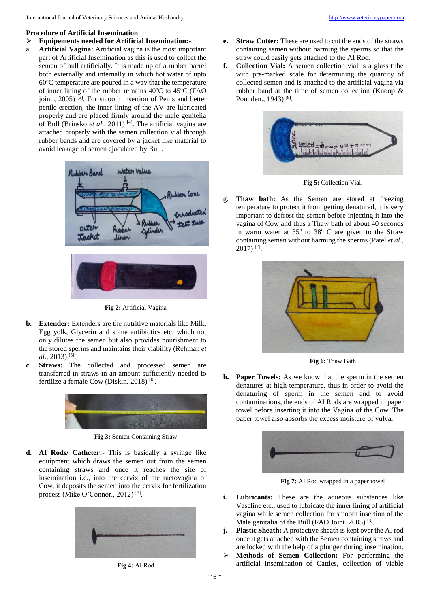#### **Procedure of Artificial Insemination**

- **Equipements needed for Artificial Insemination:-**
- a. **Artificial Vagina:** Artificial vagina is the most important part of Artificial Insemination as this is used to collect the semen of bull artificially. It is made up of a rubber barrel both externally and internally in which hot water of upto  $60^{\circ}$ C temperature are poured in a way that the temperature of inner lining of the rubber remains  $40^{\circ}$ C to  $45^{\circ}$ C (FAO joint., 2005)<sup>[3]</sup>. For smooth insertion of Penis and better penile erection, the inner lining of the AV are lubricated properly and are placed firmly around the male genitelia of Bull (Brinsko *et al*., 2011) [4] . The artificial vagina are attached properly with the semen collection vial through rubber bands and are covered by a jacket like material to avoid leakage of semen ejaculated by Bull.



**Fig 2:** Artificial Vagina

- **b. Extender:** Extenders are the nutritive materials like Milk, Egg yolk, Glycerin and some antibiotics etc. which not only dilutes the semen but also provides nourishment to the stored sperms and maintains their viability (Rehman *et*  al., 2013)<sup>[5]</sup>.
- **c. Straws:** The collected and processed semen are transferred in straws in an amount sufficiently needed to fertilize a female Cow (Diskin. 2018)<sup>[6]</sup>.



**Fig 3:** Semen Containing Straw

**d. AI Rods/ Catheter:-** This is basically a syringe like equipment which draws the semen out from the semen containing straws and once it reaches the site of insemination i.e., into the cervix of the ractovagina of Cow, it deposits the semen into the cervix for fertilization process (Mike O'Connor., 2012)<sup>[7]</sup>.



**Fig 4:** AI Rod

- **e. Straw Cutter:** These are used to cut the ends of the straws containing semen without harming the sperms so that the straw could easily gets attached to the AI Rod.
- **f. Collection Vial:** A semen collection vial is a glass tube with pre-marked scale for determining the quantity of collected semen and is attached to the artificial vagina via rubber band at the time of semen collection (Knoop  $\&$ Pounden., 1943)<sup>[8]</sup>.



**Fig 5:** Collection Vial.

g. **Thaw bath:** As the Semen are stored at freezing temperature to protect it from getting denatured, it is very important to defrost the semen before injecting it into the vagina of Cow and thus a Thaw bath of about 40 seconds in warm water at  $35^{\circ}$  to  $38^{\circ}$  C are given to the Straw containing semen without harming the sperms (Patel *et al*., 2017) [2] .



**Fig 6:** Thaw Bath

**h. Paper Towels:** As we know that the sperm in the semen denatures at high temperature, thus in order to avoid the denaturing of sperm in the semen and to avoid contaminations, the ends of AI Rods are wrapped in paper towel before inserting it into the Vagina of the Cow. The paper towel also absorbs the excess moisture of vulva.



**Fig 7:** AI Rod wrapped in a paper towel

- **i. Lubricants:** These are the aqueous substances like Vaseline etc., used to lubricate the inner lining of artificial vagina while semen collection for smooth insertion of the Male genitalia of the Bull (FAO Joint. 2005)<sup>[3]</sup>.
- **j. Plastic Sheath:** A protective sheath is kept over the AI rod once it gets attached with the Semen containing straws and are locked with the help of a plunger during insemination.
- **Methods of Semen Collection:** For performing the artificial insemination of Cattles, collection of viable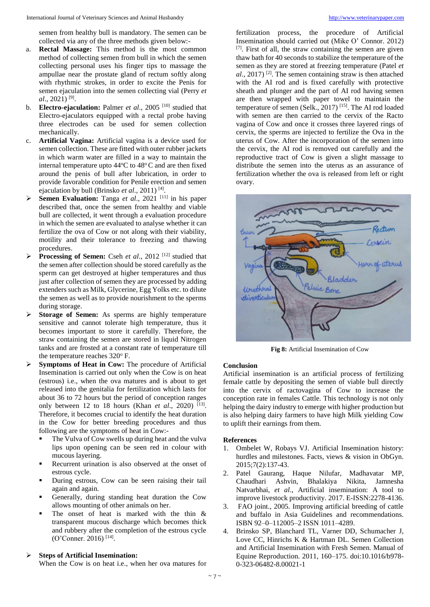semen from healthy bull is mandatory. The semen can be collected via any of the three methods given below:-

- a. **Rectal Massage:** This method is the most common method of collecting semen from bull in which the semen collecting personal uses his finger tips to massage the ampullae near the prostate gland of rectum softly along with rhythmic strokes, in order to excite the Penis for semen ejaculation into the semen collecting vial (Perry *et al*., 2021) [9] .
- b. **Electro-ejaculation:** Palmer *et al*., 2005 [10] studied that Electro-ejaculators equipped with a rectal probe having three electrodes can be used for semen collection mechanically.
- c. **Artificial Vagina:** Artificial vagina is a device used for semen collection. These are fitted with outer rubber jackets in which warm water are filled in a way to maintain the internal temperature upto  $44^{\circ}$ C to  $48^{\circ}$ C and are then fixed around the penis of bull after lubrication, in order to provide favorable condition for Penile erection and semen ejaculation by bull (Brinsko *et al.*, 2011)<sup>[4]</sup>.
- ▶ **Semen Evaluation:** Tanga *et al.*, 2021<sup>[11]</sup> in his paper described that, once the semen from healthy and viable bull are collected, it went through a evaluation procedure in which the semen are evaluated to analyse whether it can fertilize the ova of Cow or not along with their viability, motility and their tolerance to freezing and thawing procedures.
- Processing of Semen: Cseh et al., 2012<sup>[12]</sup> studied that the semen after collection should be stored carefully as the sperm can get destroyed at higher temperatures and thus just after collection of semen they are processed by adding extenders such as Milk, Glycerine, Egg Yolks etc. to dilute the semen as well as to provide nourishment to the sperms during storage.
- **Storage of Semen:** As sperms are highly temperature sensitive and cannot tolerate high temperature, thus it becomes important to store it carefully. Therefore, the straw containing the semen are stored in liquid Nitrogen tanks and are frosted at a constant rate of temperature till the temperature reaches 320°F.
- **Symptoms of Heat in Cow:** The procedure of Artificial Insemination is carried out only when the Cow is on heat (estrous) i.e., when the ova matures and is about to get released into the genitalia for fertilization which lasts for about 36 to 72 hours but the period of conception ranges only between 12 to 18 hours (Khan *et al.*, 2020)<sup>[13]</sup>. Therefore, it becomes crucial to identify the heat duration in the Cow for better breeding procedures and thus following are the symptoms of heat in Cow:-
	- The Vulva of Cow swells up during heat and the vulva lips upon opening can be seen red in colour with mucous layering.
	- Recurrent urination is also observed at the onset of estrous cycle.
	- During estrous, Cow can be seen raising their tail again and again.
	- Generally, during standing heat duration the Cow allows mounting of other animals on her.
	- The onset of heat is marked with the thin & transparent mucous discharge which becomes thick and rubbery after the completion of the estrous cycle (O'Conner. 2016) [14] .

## **Steps of Artificial Insemination:**

When the Cow is on heat i.e., when her ova matures for

fertilization process, the procedure of Artificial Insemination should carried out (Mike O' Connor. 2012) [7] . First of all, the straw containing the semen are given thaw bath for 40 seconds to stabilize the temperature of the semen as they are stored at freezing temperature (Patel *et al*., 2017) [2] . The semen containing straw is then attached with the AI rod and is fixed carefully with protective sheath and plunger and the part of AI rod having semen are then wrapped with paper towel to maintain the temperature of semen (Selk., 2017) [15] . The AI rod loaded with semen are then carried to the cervix of the Racto vagina of Cow and once it crosses three layered rings of cervix, the sperms are injected to fertilize the Ova in the uterus of Cow. After the incorporation of the semen into the cervix, the AI rod is removed out carefully and the reproductive tract of Cow is given a slight massage to distribute the semen into the uterus as an assurance of fertilization whether the ova is released from left or right ovary.



**Fig 8:** Artificial Insemination of Cow

### **Conclusion**

Artificial insemination is an artificial process of fertilizing female cattle by depositing the semen of viable bull directly into the cervix of ractovagina of Cow to increase the conception rate in females Cattle. This technology is not only helping the dairy industry to emerge with higher production but is also helping dairy farmers to have high Milk yielding Cow to uplift their earnings from them.

### **References**

- 1. Ombelet W, Robays VJ. Artificial Insemination history: hurdles and milestones. Facts, views & vision in ObGyn. 2015;7(2):137-43.
- 2. Patel Gaurang, Haque Nilufar, Madhavatar MP, Chaudhari Ashvin, Bhalakiya Nikita, Jamnesha Natvarbhai, *et al*., Artificial insemination: A tool to improve livestock productivity. 2017. E-ISSN:2278-4136.
- 3. FAO joint., 2005. Improving artificial breeding of cattle and buffalo in Asia Guidelines and recommendations. ISBN 92–0–112005–2 ISSN 1011–4289.
- 4. Brinsko SP, Blanchard TL, Varner DD, Schumacher J, Love CC, Hinrichs K & Hartman DL. Semen Collection and Artificial Insemination with Fresh Semen. Manual of Equine Reproduction. 2011, 160–175. doi:10.1016/b978- 0-323-06482-8.00021-1